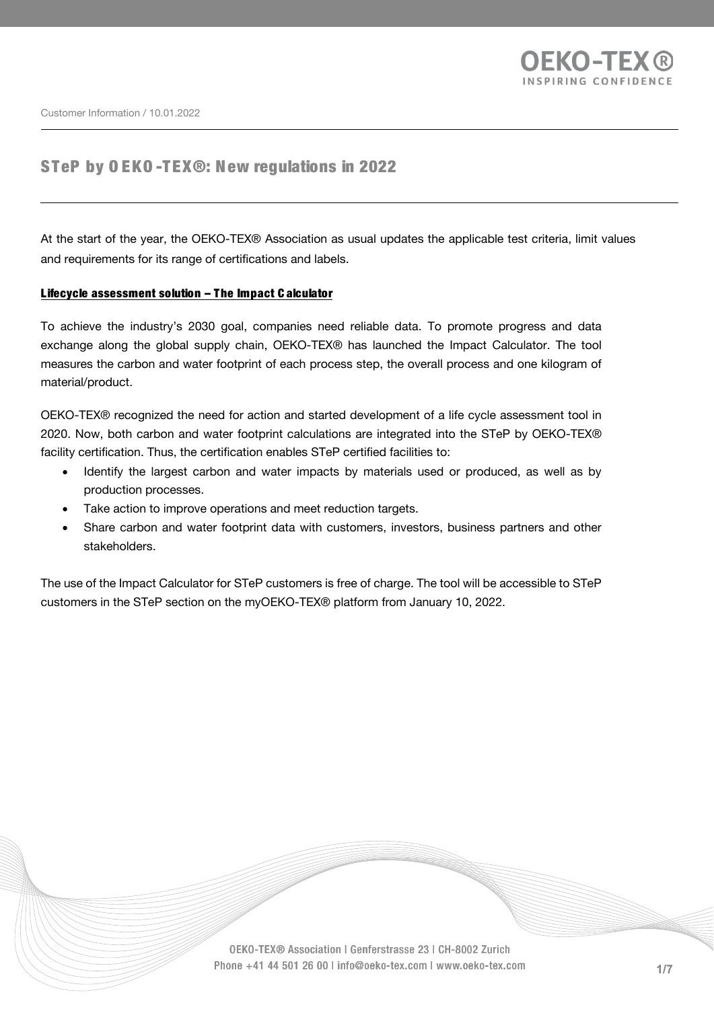

# STeP by O EKO -TEX®: New regulations in 2022

At the start of the year, the OEKO-TEX® Association as usual updates the applicable test criteria, limit values and requirements for its range of certifications and labels.

#### Lifecycle assessment solution – The Impact C alculator

To achieve the industry's 2030 goal, companies need reliable data. To promote progress and data exchange along the global supply chain, OEKO-TEX® has launched the Impact Calculator. The tool measures the carbon and water footprint of each process step, the overall process and one kilogram of material/product.

OEKO-TEX® recognized the need for action and started development of a life cycle assessment tool in 2020. Now, both carbon and water footprint calculations are integrated into the STeP by OEKO-TEX® facility certification. Thus, the certification enables STeP certified facilities to:

- Identify the largest carbon and water impacts by materials used or produced, as well as by production processes.
- Take action to improve operations and meet reduction targets.
- Share carbon and water footprint data with customers, investors, business partners and other stakeholders.

The use of the Impact Calculator for STeP customers is free of charge. The tool will be accessible to STeP customers in the STeP section on the myOEKO-TEX® platform from January 10, 2022.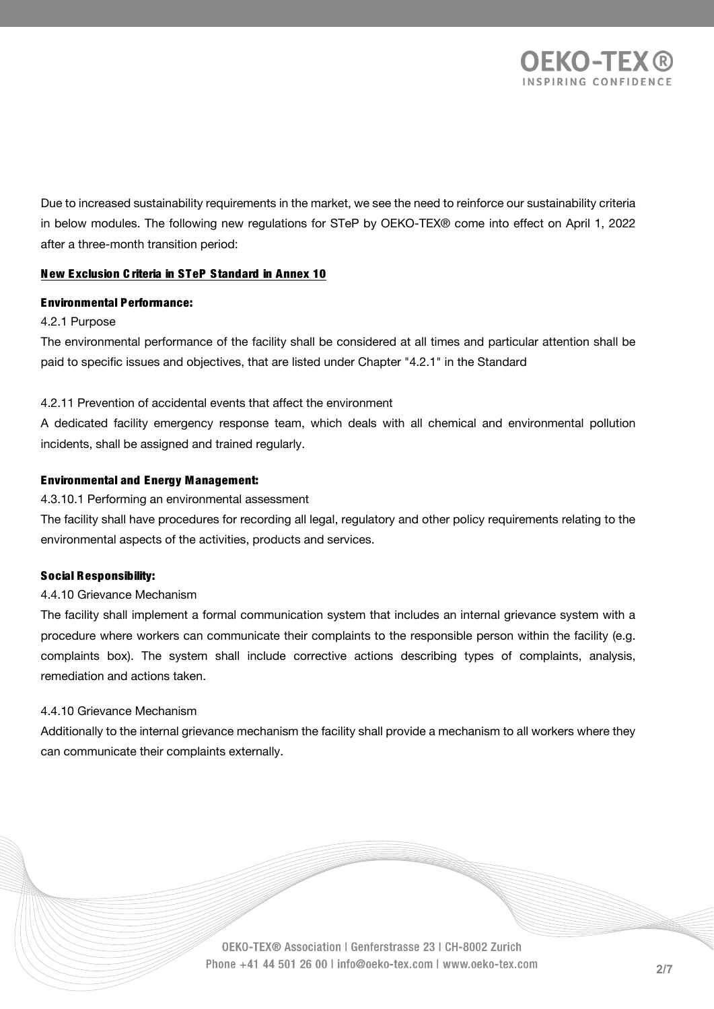

Due to increased sustainability requirements in the market, we see the need to reinforce our sustainability criteria in below modules. The following new regulations for STeP by OEKO-TEX® come into effect on April 1, 2022 after a three-month transition period:

### N ew Exclusion C riteria in STeP Standard in Annex 10

#### Environmental Performance:

#### 4.2.1 Purpose

The environmental performance of the facility shall be considered at all times and particular attention shall be paid to specific issues and objectives, that are listed under Chapter "4.2.1" in the Standard

#### 4.2.11 Prevention of accidental events that affect the environment

A dedicated facility emergency response team, which deals with all chemical and environmental pollution incidents, shall be assigned and trained regularly.

### Environmental and Energy Management:

#### 4.3.10.1 Performing an environmental assessment

The facility shall have procedures for recording all legal, regulatory and other policy requirements relating to the environmental aspects of the activities, products and services.

#### Social Responsibility:

#### 4.4.10 Grievance Mechanism

The facility shall implement a formal communication system that includes an internal grievance system with a procedure where workers can communicate their complaints to the responsible person within the facility (e.g. complaints box). The system shall include corrective actions describing types of complaints, analysis, remediation and actions taken.

#### 4.4.10 Grievance Mechanism

Additionally to the internal grievance mechanism the facility shall provide a mechanism to all workers where they can communicate their complaints externally.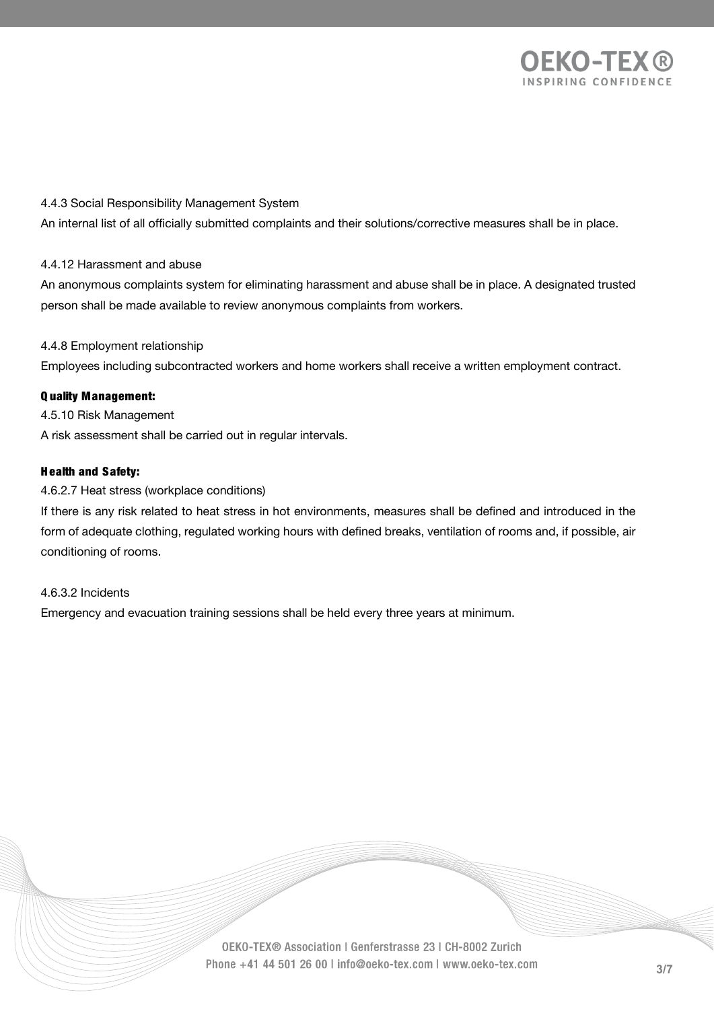

### 4.4.3 Social Responsibility Management System

An internal list of all officially submitted complaints and their solutions/corrective measures shall be in place.

### 4.4.12 Harassment and abuse

An anonymous complaints system for eliminating harassment and abuse shall be in place. A designated trusted person shall be made available to review anonymous complaints from workers.

#### 4.4.8 Employment relationship

Employees including subcontracted workers and home workers shall receive a written employment contract.

### Q uality Management:

4.5.10 Risk Management A risk assessment shall be carried out in regular intervals.

#### H ealth and Safety:

#### 4.6.2.7 Heat stress (workplace conditions)

If there is any risk related to heat stress in hot environments, measures shall be defined and introduced in the form of adequate clothing, regulated working hours with defined breaks, ventilation of rooms and, if possible, air conditioning of rooms.

#### 4.6.3.2 Incidents

Emergency and evacuation training sessions shall be held every three years at minimum.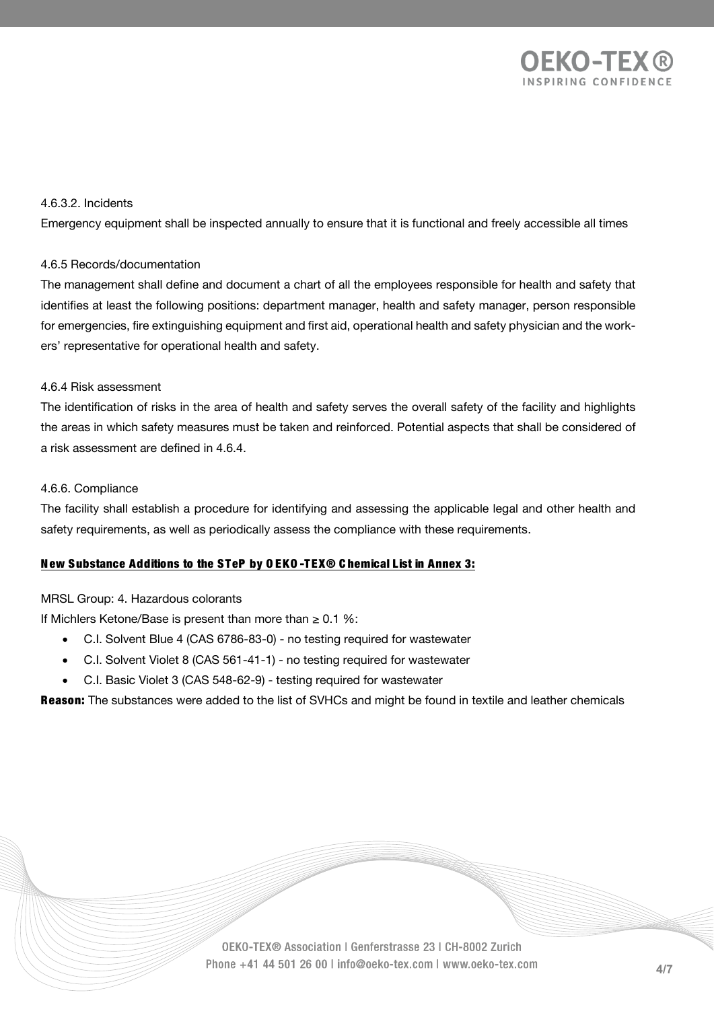

### 4.6.3.2. Incidents

Emergency equipment shall be inspected annually to ensure that it is functional and freely accessible all times

### 4.6.5 Records/documentation

The management shall define and document a chart of all the employees responsible for health and safety that identifies at least the following positions: department manager, health and safety manager, person responsible for emergencies, fire extinguishing equipment and first aid, operational health and safety physician and the workers' representative for operational health and safety.

### 4.6.4 Risk assessment

The identification of risks in the area of health and safety serves the overall safety of the facility and highlights the areas in which safety measures must be taken and reinforced. Potential aspects that shall be considered of a risk assessment are defined in 4.6.4.

#### 4.6.6. Compliance

The facility shall establish a procedure for identifying and assessing the applicable legal and other health and safety requirements, as well as periodically assess the compliance with these requirements.

### New Substance Additions to the STeP by O EKO -TEX® C hemical List in Annex 3:

### MRSL Group: 4. Hazardous colorants

If Michlers Ketone/Base is present than more than  $\geq 0.1$  %:

- C.I. Solvent Blue 4 (CAS 6786-83-0) no testing required for wastewater
- C.I. Solvent Violet 8 (CAS 561-41-1) no testing required for wastewater
- C.I. Basic Violet 3 (CAS 548-62-9) testing required for wastewater

Reason: The substances were added to the list of SVHCs and might be found in textile and leather chemicals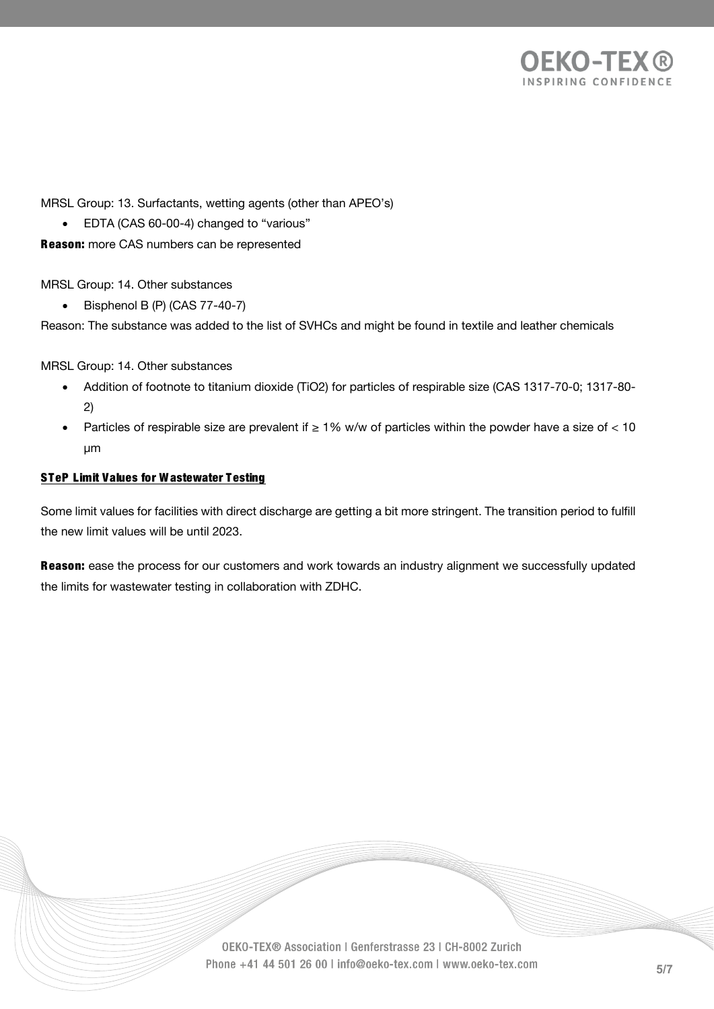

MRSL Group: 13. Surfactants, wetting agents (other than APEO's)

• EDTA (CAS 60-00-4) changed to "various"

**Reason:** more CAS numbers can be represented

MRSL Group: 14. Other substances

• Bisphenol B (P) (CAS 77-40-7)

Reason: The substance was added to the list of SVHCs and might be found in textile and leather chemicals

MRSL Group: 14. Other substances

- Addition of footnote to titanium dioxide (TiO2) for particles of respirable size (CAS 1317-70-0; 1317-80- 2)
- Particles of respirable size are prevalent if  $\geq 1\%$  w/w of particles within the powder have a size of < 10 µm

### STeP Limit Values for Wastewater Testing

Some limit values for facilities with direct discharge are getting a bit more stringent. The transition period to fulfill the new limit values will be until 2023.

Reason: ease the process for our customers and work towards an industry alignment we successfully updated the limits for wastewater testing in collaboration with ZDHC.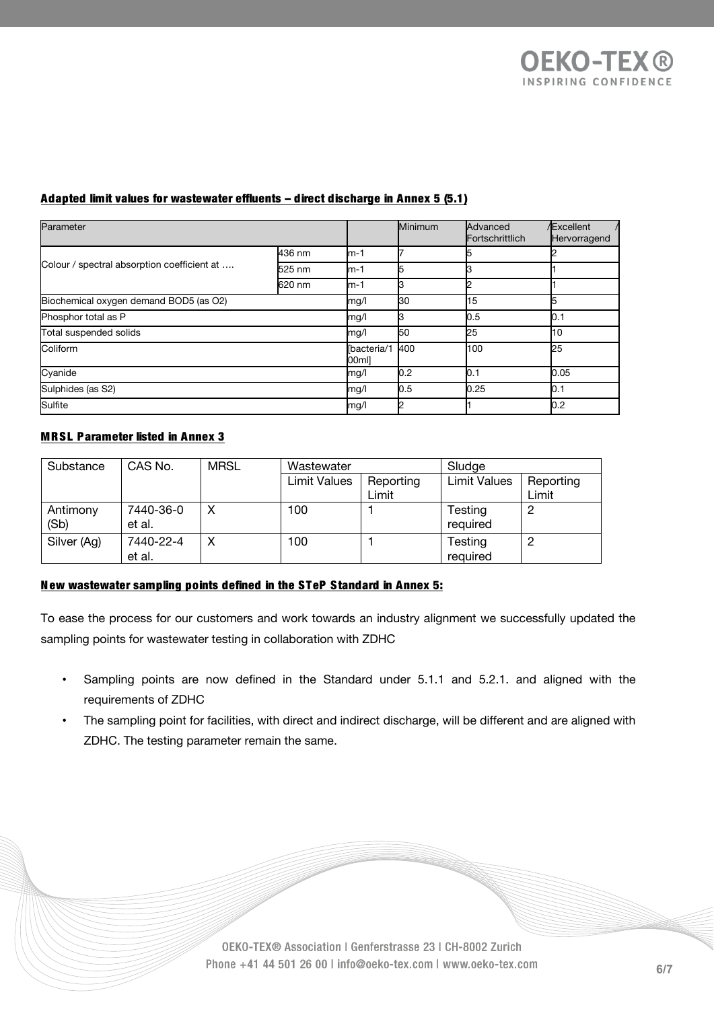| Parameter                                   |                      |      | Minimum | Advanced<br>Fortschrittlich | <b>Excellent</b><br>Hervorragend |
|---------------------------------------------|----------------------|------|---------|-----------------------------|----------------------------------|
| Colour / spectral absorption coefficient at | 436 nm               | lm-1 |         |                             |                                  |
|                                             | 525 nm               | lm-1 |         |                             |                                  |
|                                             | 620 nm               | lm-1 |         |                             |                                  |
| Biochemical oxygen demand BOD5 (as O2)      |                      |      | k30     | 15                          |                                  |
| Phosphor total as P                         | mg/l                 |      | 0.5     | 0.1                         |                                  |
| Total suspended solids                      | mg/l                 | 50   | 25      | ŀ10                         |                                  |
| Coliform                                    | lbacteria/1<br>00ml] | 400  | 100     | 25                          |                                  |
| Cyanide                                     | mg/l                 | 0.2  | 0.1     | 0.05                        |                                  |
| Sulphides (as S2)                           | mg/l                 | 0.5  | 0.25    | 0.1                         |                                  |
| Sulfite                                     |                      |      |         |                             | 0.2                              |

## Adapted limit values for wastewater effluents – direct discharge in Annex 5 (5.1)

### MRSL Parameter listed in Annex 3

| Substance        | CAS No.             | <b>MRSL</b> | Wastewater          |                    | Sludge              |                    |
|------------------|---------------------|-------------|---------------------|--------------------|---------------------|--------------------|
|                  |                     |             | <b>Limit Values</b> | Reporting<br>Limit | <b>Limit Values</b> | Reporting<br>Limit |
| Antimony<br>(Sb) | 7440-36-0<br>et al. | Χ           | 100                 |                    | Testing<br>required | 2                  |
| Silver (Ag)      | 7440-22-4<br>et al. | Χ           | 100                 |                    | Testing<br>required | ∩                  |

# New wastewater sampling points defined in the STeP Standard in Annex 5:

To ease the process for our customers and work towards an industry alignment we successfully updated the sampling points for wastewater testing in collaboration with ZDHC

- Sampling points are now defined in the Standard under 5.1.1 and 5.2.1. and aligned with the requirements of ZDHC
- The sampling point for facilities, with direct and indirect discharge, will be different and are aligned with ZDHC. The testing parameter remain the same.